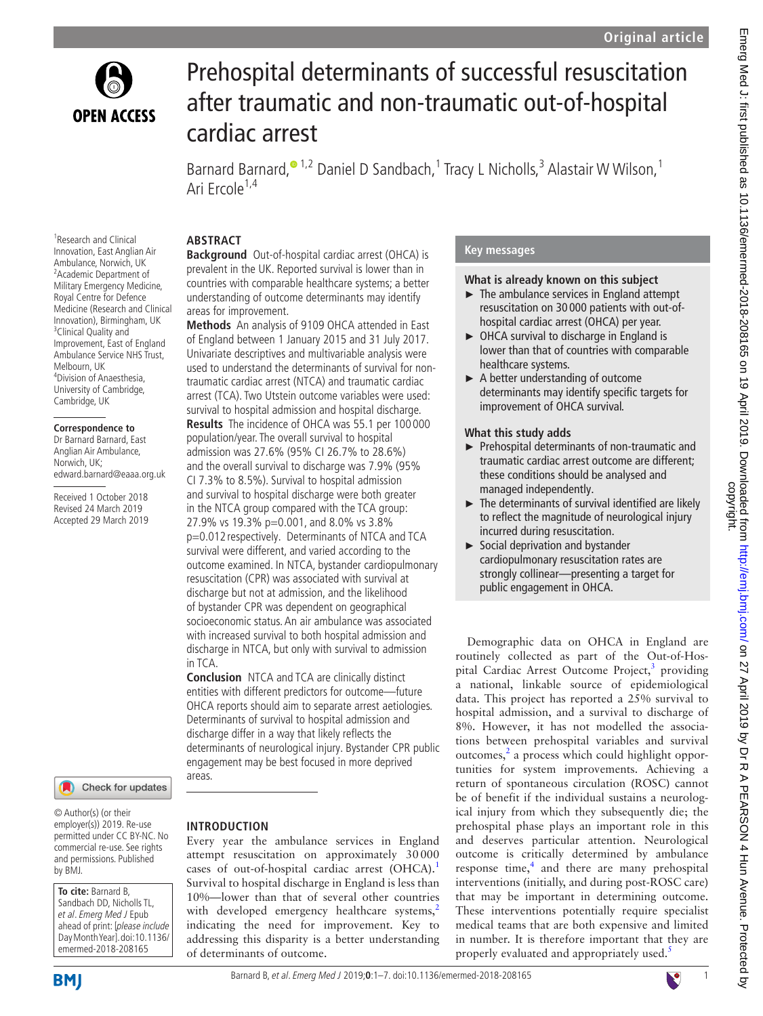

<sup>1</sup> Research and Clinical

<sup>3</sup> Clinical Quality and Improvement, East of England Ambulance Service NHS Trust,

**Correspondence to** Dr Barnard Barnard, East Anglian Air Ambulance, Norwich, UK;

edward.barnard@eaaa.org.uk Received 1 October 2018 Revised 24 March 2019 Accepted 29 March 2019

Melbourn, UK 4 Division of Anaesthesia, University of Cambridge, Cambridge, UK

# Prehospital determinants of successful resuscitation after traumatic and non-traumatic out-of-hospital cardiac arrest

Barnard Barnard,<sup>® 1,2</sup> Daniel D Sandbach,<sup>1</sup> Tracy L Nicholls,<sup>3</sup> Alastair W Wilson,<sup>1</sup> Ari Frcole<sup>1,4</sup>

## **Abstract**

Innovation, East Anglian Air Ambulance, Norwich, UK <sup>2</sup> Academic Department of Military Emergency Medicine, Royal Centre for Defence Medicine (Research and Clinical Innovation), Birmingham, UK **Background** Out-of-hospital cardiac arrest (OHCA) is prevalent in the UK. Reported survival is lower than in countries with comparable healthcare systems; a better understanding of outcome determinants may identify areas for improvement. **Methods** An analysis of 9109 OHCA attended in East

of England between 1 January 2015 and 31 July 2017. Univariate descriptives and multivariable analysis were used to understand the determinants of survival for nontraumatic cardiac arrest (NTCA) and traumatic cardiac arrest (TCA). Two Utstein outcome variables were used: survival to hospital admission and hospital discharge. **Results** The incidence of OHCA was 55.1 per 100 000 population/year. The overall survival to hospital admission was 27.6% (95% CI 26.7% to 28.6%) and the overall survival to discharge was 7.9% (95% CI 7.3% to 8.5%). Survival to hospital admission and survival to hospital discharge were both greater in the NTCA group compared with the TCA group: 27.9% vs 19.3% p=0.001, and 8.0% vs 3.8% p=0.012 respectively. Determinants of NTCA and TCA survival were different, and varied according to the outcome examined. In NTCA, bystander cardiopulmonary resuscitation (CPR) was associated with survival at discharge but not at admission, and the likelihood of bystander CPR was dependent on geographical socioeconomic status. An air ambulance was associated with increased survival to both hospital admission and discharge in NTCA, but only with survival to admission in TCA.

**Conclusion** NTCA and TCA are clinically distinct entities with different predictors for outcome—future OHCA reports should aim to separate arrest aetiologies. Determinants of survival to hospital admission and discharge differ in a way that likely reflects the determinants of neurological injury. Bystander CPR public engagement may be best focused in more deprived areas.

Every year the ambulance services in England attempt resuscitation on approximately 30000 cases of out-of-hospital cardiac arrest (OHCA).<sup>[1](#page-6-0)</sup> Survival to hospital discharge in England is less than 10%—lower than that of several other countries with developed emergency healthcare systems,<sup>[2](#page-6-1)</sup> indicating the need for improvement. Key to addressing this disparity is a better understanding

**Introduction**

of determinants of outcome.

Check for updates

© Author(s) (or their employer(s)) 2019. Re-use permitted under CC BY-NC. No commercial re-use. See rights and permissions. Published by BMJ.

**To cite:** Barnard B, Sandbach DD, Nicholls TL, et al. Emerg Med J Epub ahead of print: [please include Day Month Year]. doi:10.1136/ emermed-2018-208165

# **BMI**

Barnard B, et al. Emerg Med J 2019;**0**:1–7. doi:10.1136/emermed-2018-2081651

# **Key messages**

#### **What is already known on this subject**

- ► The ambulance services in England attempt resuscitation on 30 000 patients with out-ofhospital cardiac arrest (OHCA) per year.
- ► OHCA survival to discharge in England is lower than that of countries with comparable healthcare systems.
- ► A better understanding of outcome determinants may identify specific targets for improvement of OHCA survival.

#### **What this study adds**

- ► Prehospital determinants of non-traumatic and traumatic cardiac arrest outcome are different; these conditions should be analysed and managed independently.
- ► The determinants of survival identified are likely to reflect the magnitude of neurological injury incurred during resuscitation.
- ► Social deprivation and bystander cardiopulmonary resuscitation rates are strongly collinear—presenting a target for public engagement in OHCA.

Demographic data on OHCA in England are routinely collected as part of the Out-of-Hos-pital Cardiac Arrest Outcome Project,<sup>[3](#page-6-2)</sup> providing a national, linkable source of epidemiological data. This project has reported a 25% survival to hospital admission, and a survival to discharge of 8%. However, it has not modelled the associations between prehospital variables and survival outcomes, $<sup>2</sup>$  $<sup>2</sup>$  $<sup>2</sup>$  a process which could highlight oppor-</sup> tunities for system improvements. Achieving a return of spontaneous circulation (ROSC) cannot be of benefit if the individual sustains a neurological injury from which they subsequently die; the prehospital phase plays an important role in this and deserves particular attention. Neurological outcome is critically determined by ambulance response time, $<sup>4</sup>$  $<sup>4</sup>$  $<sup>4</sup>$  and there are many prehospital</sup> interventions (initially, and during post-ROSC care) that may be important in determining outcome. These interventions potentially require specialist medical teams that are both expensive and limited in number. It is therefore important that they are properly evaluated and appropriately used.<sup>[5](#page-6-4)</sup>

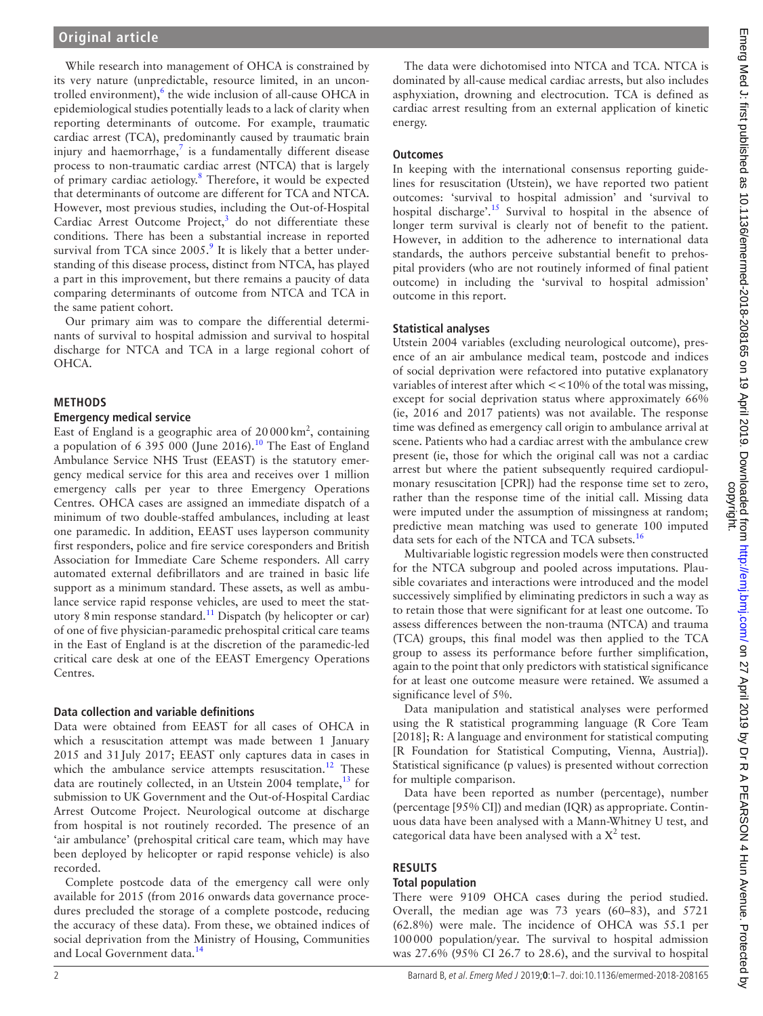While research into management of OHCA is constrained by its very nature (unpredictable, resource limited, in an uncon-trolled environment),<sup>[6](#page-6-5)</sup> the wide inclusion of all-cause OHCA in epidemiological studies potentially leads to a lack of clarity when reporting determinants of outcome. For example, traumatic cardiac arrest (TCA), predominantly caused by traumatic brain injury and haemorrhage, $7$  is a fundamentally different disease process to non-traumatic cardiac arrest (NTCA) that is largely of primary cardiac aetiology.<sup>[8](#page-6-7)</sup> Therefore, it would be expected that determinants of outcome are different for TCA and NTCA. However, most previous studies, including the Out-of-Hospital Cardiac Arrest Outcome Project, $3$  do not differentiate these conditions. There has been a substantial increase in reported survival from TCA since  $2005$ .<sup>[9](#page-6-8)</sup> It is likely that a better understanding of this disease process, distinct from NTCA, has played a part in this improvement, but there remains a paucity of data comparing determinants of outcome from NTCA and TCA in the same patient cohort.

Our primary aim was to compare the differential determinants of survival to hospital admission and survival to hospital discharge for NTCA and TCA in a large regional cohort of OHCA.

### **Methods**

#### **Emergency medical service**

East of England is a geographic area of  $20000 \text{ km}^2$ , containing a population of 6 395 000 (June 2016).<sup>10</sup> The East of England Ambulance Service NHS Trust (EEAST) is the statutory emergency medical service for this area and receives over 1 million emergency calls per year to three Emergency Operations Centres. OHCA cases are assigned an immediate dispatch of a minimum of two double-staffed ambulances, including at least one paramedic. In addition, EEAST uses layperson community first responders, police and fire service coresponders and British Association for Immediate Care Scheme responders. All carry automated external defibrillators and are trained in basic life support as a minimum standard. These assets, as well as ambulance service rapid response vehicles, are used to meet the statutory 8 min response standard.<sup>11</sup> Dispatch (by helicopter or car) of one of five physician-paramedic prehospital critical care teams in the East of England is at the discretion of the paramedic-led critical care desk at one of the EEAST Emergency Operations Centres.

#### **Data collection and variable definitions**

Data were obtained from EEAST for all cases of OHCA in which a resuscitation attempt was made between 1 January 2015 and 31July 2017; EEAST only captures data in cases in which the ambulance service attempts resuscitation.<sup>12</sup> These data are routinely collected, in an Utstein 2004 template,  $^{13}$  for submission to UK Government and the Out-of-Hospital Cardiac Arrest Outcome Project. Neurological outcome at discharge from hospital is not routinely recorded. The presence of an 'air ambulance' (prehospital critical care team, which may have been deployed by helicopter or rapid response vehicle) is also recorded.

Complete postcode data of the emergency call were only available for 2015 (from 2016 onwards data governance procedures precluded the storage of a complete postcode, reducing the accuracy of these data). From these, we obtained indices of social deprivation from the Ministry of Housing, Communities and Local Government data.<sup>14</sup>

The data were dichotomised into NTCA and TCA. NTCA is dominated by all-cause medical cardiac arrests, but also includes asphyxiation, drowning and electrocution. TCA is defined as cardiac arrest resulting from an external application of kinetic

#### **Outcomes**

energy.

In keeping with the international consensus reporting guidelines for resuscitation (Utstein), we have reported two patient outcomes: 'survival to hospital admission' and 'survival to hospital discharge'.<sup>[15](#page-6-14)</sup> Survival to hospital in the absence of longer term survival is clearly not of benefit to the patient. However, in addition to the adherence to international data standards, the authors perceive substantial benefit to prehospital providers (who are not routinely informed of final patient outcome) in including the 'survival to hospital admission' outcome in this report.

#### **Statistical analyses**

Utstein 2004 variables (excluding neurological outcome), presence of an air ambulance medical team, postcode and indices of social deprivation were refactored into putative explanatory variables of interest after which <<10% of the total was missing, except for social deprivation status where approximately 66% (ie, 2016 and 2017 patients) was not available. The response time was defined as emergency call origin to ambulance arrival at scene. Patients who had a cardiac arrest with the ambulance crew present (ie, those for which the original call was not a cardiac arrest but where the patient subsequently required cardiopulmonary resuscitation [CPR]) had the response time set to zero, rather than the response time of the initial call. Missing data were imputed under the assumption of missingness at random; predictive mean matching was used to generate 100 imputed data sets for each of the NTCA and TCA subsets.<sup>16</sup>

Multivariable logistic regression models were then constructed for the NTCA subgroup and pooled across imputations. Plausible covariates and interactions were introduced and the model successively simplified by eliminating predictors in such a way as to retain those that were significant for at least one outcome. To assess differences between the non-trauma (NTCA) and trauma (TCA) groups, this final model was then applied to the TCA group to assess its performance before further simplification, again to the point that only predictors with statistical significance for at least one outcome measure were retained. We assumed a significance level of 5%.

Data manipulation and statistical analyses were performed using the R statistical programming language (R Core Team [2018]; R: A language and environment for statistical computing [R Foundation for Statistical Computing, Vienna, Austria]). Statistical significance (p values) is presented without correction for multiple comparison.

Data have been reported as number (percentage), number (percentage [95% CI]) and median (IQR) as appropriate. Continuous data have been analysed with a Mann-Whitney U test, and categorical data have been analysed with a  $X^2$  test.

# **Results**

#### **Total population**

There were 9109 OHCA cases during the period studied. Overall, the median age was 73 years (60–83), and 5721 (62.8%) were male. The incidence of OHCA was 55.1 per 100000 population/year. The survival to hospital admission was 27.6% (95% CI 26.7 to 28.6), and the survival to hospital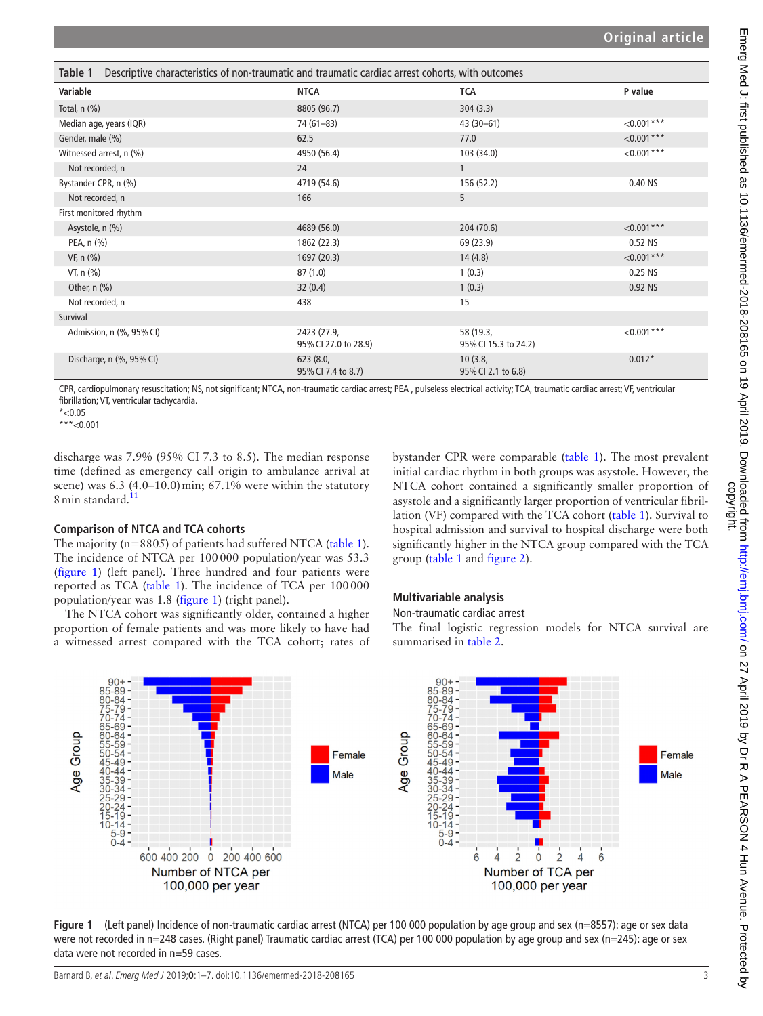<span id="page-2-0"></span>

| Descriptive characteristics of non-traumatic and traumatic cardiac arrest cohorts, with outcomes<br>Table 1 |                                     |                                   |               |  |  |
|-------------------------------------------------------------------------------------------------------------|-------------------------------------|-----------------------------------|---------------|--|--|
| Variable                                                                                                    | NTCA                                | <b>TCA</b>                        | P value       |  |  |
| Total, $n$ $(\%)$                                                                                           | 8805 (96.7)                         | 304(3.3)                          |               |  |  |
| Median age, years (IQR)                                                                                     | $74(61 - 83)$                       | $43(30-61)$                       | $< 0.001$ *** |  |  |
| Gender, male (%)                                                                                            | 62.5                                | 77.0                              | $< 0.001***$  |  |  |
| Witnessed arrest, n (%)                                                                                     | 4950 (56.4)                         | 103 (34.0)                        | $<0.001***$   |  |  |
| Not recorded, n                                                                                             | 24                                  | $\mathbf{1}$                      |               |  |  |
| Bystander CPR, n (%)                                                                                        | 4719 (54.6)                         | 156 (52.2)                        | 0.40 NS       |  |  |
| Not recorded, n                                                                                             | 166                                 | 5                                 |               |  |  |
| First monitored rhythm                                                                                      |                                     |                                   |               |  |  |
| Asystole, n (%)                                                                                             | 4689 (56.0)                         | 204 (70.6)                        | $< 0.001$ *** |  |  |
| PEA, n (%)                                                                                                  | 1862 (22.3)                         | 69 (23.9)                         | 0.52 NS       |  |  |
| VF, n (%)                                                                                                   | 1697 (20.3)                         | 14(4.8)                           | $< 0.001***$  |  |  |
| VT, $n$ $(\%)$                                                                                              | 87(1.0)                             | 1(0.3)                            | 0.25 NS       |  |  |
| Other, $n$ (%)                                                                                              | 32(0.4)                             | 1(0.3)                            | 0.92 NS       |  |  |
| Not recorded, n                                                                                             | 438                                 | 15                                |               |  |  |
| Survival                                                                                                    |                                     |                                   |               |  |  |
| Admission, n (%, 95% CI)                                                                                    | 2423 (27.9,<br>95% CI 27.0 to 28.9) | 58 (19.3,<br>95% CI 15.3 to 24.2) | $<0.001***$   |  |  |
| Discharge, n (%, 95% CI)                                                                                    | 623 (8.0,<br>95% CI 7.4 to 8.7)     | 10(3.8,<br>95% CI 2.1 to 6.8)     | $0.012*$      |  |  |

CPR, cardiopulmonary resuscitation; NS, not significant; NTCA, non-traumatic cardiac arrest; PEA , pulseless electrical activity; TCA, traumatic cardiac arrest; VF, ventricular fibrillation; VT, ventricular tachycardia.

 $*$  < 0.05

\*\*\*<0.001

discharge was 7.9% (95% CI 7.3 to 8.5). The median response time (defined as emergency call origin to ambulance arrival at scene) was  $6.3$  (4.0–10.0) min;  $67.1\%$  were within the statutory 8 min standard.<sup>[11](#page-6-10)</sup>

### **Comparison of NTCA and TCA cohorts**

The majority (n=8805) of patients had suffered NTCA [\(table](#page-2-0) 1). The incidence of NTCA per 100000 population/year was 53.3 ([figure](#page-2-1) 1) (left panel). Three hundred and four patients were reported as TCA [\(table](#page-2-0) 1). The incidence of TCA per 100000 population/year was 1.8 [\(figure](#page-2-1) 1) (right panel).

The NTCA cohort was significantly older, contained a higher proportion of female patients and was more likely to have had a witnessed arrest compared with the TCA cohort; rates of bystander CPR were comparable [\(table](#page-2-0) 1). The most prevalent initial cardiac rhythm in both groups was asystole. However, the NTCA cohort contained a significantly smaller proportion of asystole and a significantly larger proportion of ventricular fibrillation (VF) compared with the TCA cohort [\(table](#page-2-0) 1). Survival to hospital admission and survival to hospital discharge were both significantly higher in the NTCA group compared with the TCA group [\(table](#page-2-0) 1 and [figure](#page-3-0) 2).

# **Multivariable analysis**

# Non-traumatic cardiac arrest

The final logistic regression models for NTCA survival are summarised in [table](#page-3-1) 2.



<span id="page-2-1"></span>**Figure 1** (Left panel) Incidence of non-traumatic cardiac arrest (NTCA) per 100 000 population by age group and sex (n=8557): age or sex data were not recorded in n=248 cases. (Right panel) Traumatic cardiac arrest (TCA) per 100 000 population by age group and sex (n=245): age or sex data were not recorded in n=59 cases.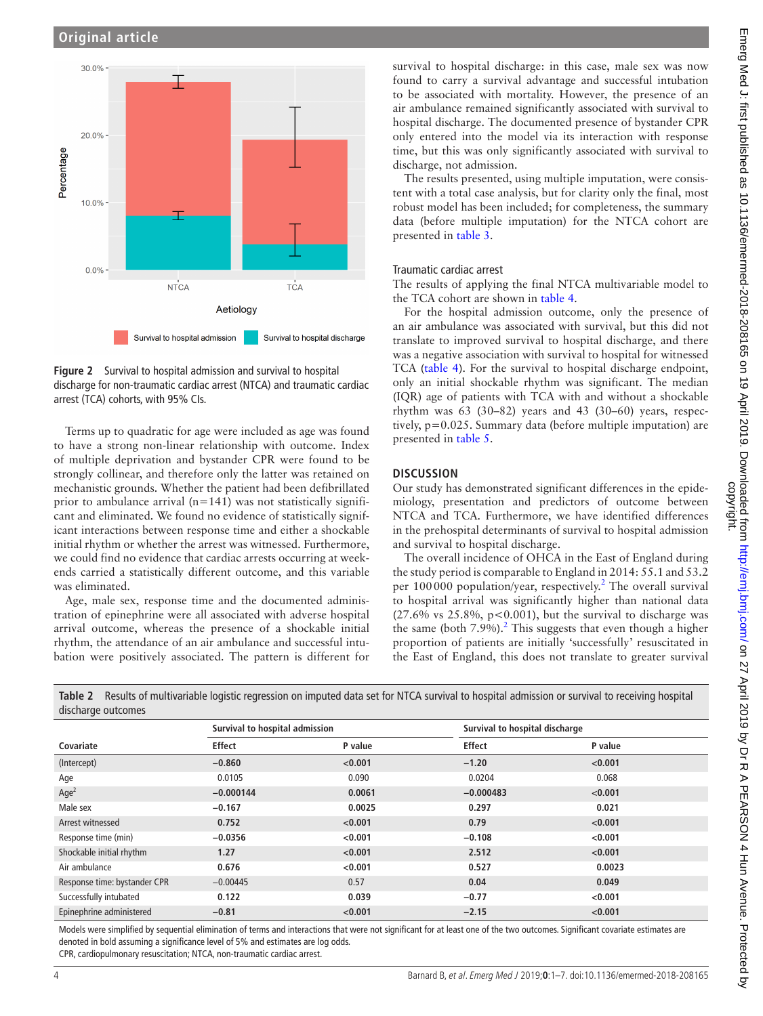

<span id="page-3-0"></span>**Figure 2** Survival to hospital admission and survival to hospital discharge for non-traumatic cardiac arrest (NTCA) and traumatic cardiac arrest (TCA) cohorts, with 95% CIs.

Terms up to quadratic for age were included as age was found to have a strong non-linear relationship with outcome. Index of multiple deprivation and bystander CPR were found to be strongly collinear, and therefore only the latter was retained on mechanistic grounds. Whether the patient had been defibrillated prior to ambulance arrival  $(n=141)$  was not statistically significant and eliminated. We found no evidence of statistically significant interactions between response time and either a shockable initial rhythm or whether the arrest was witnessed. Furthermore, we could find no evidence that cardiac arrests occurring at weekends carried a statistically different outcome, and this variable was eliminated.

Age, male sex, response time and the documented administration of epinephrine were all associated with adverse hospital arrival outcome, whereas the presence of a shockable initial rhythm, the attendance of an air ambulance and successful intubation were positively associated. The pattern is different for

survival to hospital discharge: in this case, male sex was now found to carry a survival advantage and successful intubation to be associated with mortality. However, the presence of an air ambulance remained significantly associated with survival to hospital discharge. The documented presence of bystander CPR only entered into the model via its interaction with response time, but this was only significantly associated with survival to discharge, not admission.

The results presented, using multiple imputation, were consistent with a total case analysis, but for clarity only the final, most robust model has been included; for completeness, the summary data (before multiple imputation) for the NTCA cohort are presented in [table](#page-4-0) 3.

#### Traumatic cardiac arrest

The results of applying the final NTCA multivariable model to the TCA cohort are shown in [table](#page-4-1) 4.

For the hospital admission outcome, only the presence of an air ambulance was associated with survival, but this did not translate to improved survival to hospital discharge, and there was a negative association with survival to hospital for witnessed TCA [\(table](#page-4-1) 4). For the survival to hospital discharge endpoint, only an initial shockable rhythm was significant. The median (IQR) age of patients with TCA with and without a shockable rhythm was 63 (30–82) years and 43 (30–60) years, respectively, p=0.025. Summary data (before multiple imputation) are presented in [table](#page-5-0) 5.

### **Discussion**

Our study has demonstrated significant differences in the epidemiology, presentation and predictors of outcome between NTCA and TCA. Furthermore, we have identified differences in the prehospital determinants of survival to hospital admission and survival to hospital discharge.

The overall incidence of OHCA in the East of England during the study period is comparable to England in 2014: 55.1 and 53.2 per 100000 population/year, respectively.<sup>[2](#page-6-1)</sup> The overall survival to hospital arrival was significantly higher than national data  $(27.6\% \text{ vs } 25.8\%, \text{ p} < 0.001)$ , but the survival to discharge was the same (both  $7.9\%$ ).<sup>2</sup> This suggests that even though a higher proportion of patients are initially 'successfully' resuscitated in the East of England, this does not translate to greater survival

| approved and the set         |                                |         |                                |         |
|------------------------------|--------------------------------|---------|--------------------------------|---------|
|                              | Survival to hospital admission |         | Survival to hospital discharge |         |
| Covariate                    | <b>Effect</b>                  | P value | <b>Effect</b>                  | P value |
| (Intercept)                  | $-0.860$                       | < 0.001 | $-1.20$                        | < 0.001 |
| Age                          | 0.0105                         | 0.090   | 0.0204                         | 0.068   |
| Age <sup>2</sup>             | $-0.000144$                    | 0.0061  | $-0.000483$                    | < 0.001 |
| Male sex                     | $-0.167$                       | 0.0025  | 0.297                          | 0.021   |
| Arrest witnessed             | 0.752                          | < 0.001 | 0.79                           | < 0.001 |
| Response time (min)          | $-0.0356$                      | < 0.001 | $-0.108$                       | < 0.001 |
| Shockable initial rhythm     | 1.27                           | < 0.001 | 2.512                          | < 0.001 |
| Air ambulance                | 0.676                          | < 0.001 | 0.527                          | 0.0023  |
| Response time: bystander CPR | $-0.00445$                     | 0.57    | 0.04                           | 0.049   |
| Successfully intubated       | 0.122                          | 0.039   | $-0.77$                        | < 0.001 |
| Epinephrine administered     | $-0.81$                        | < 0.001 | $-2.15$                        | < 0.001 |

<span id="page-3-1"></span>**Table 2** Results of multivariable logistic regression on imputed data set for NTCA survival to hospital admission or survival to receiving hospital

Models were simplified by sequential elimination of terms and interactions that were not significant for at least one of the two outcomes. Significant covariate estimates are denoted in bold assuming a significance level of 5% and estimates are log odds.

CPR, cardiopulmonary resuscitation; NTCA, non-traumatic cardiac arrest.

discharge outcomes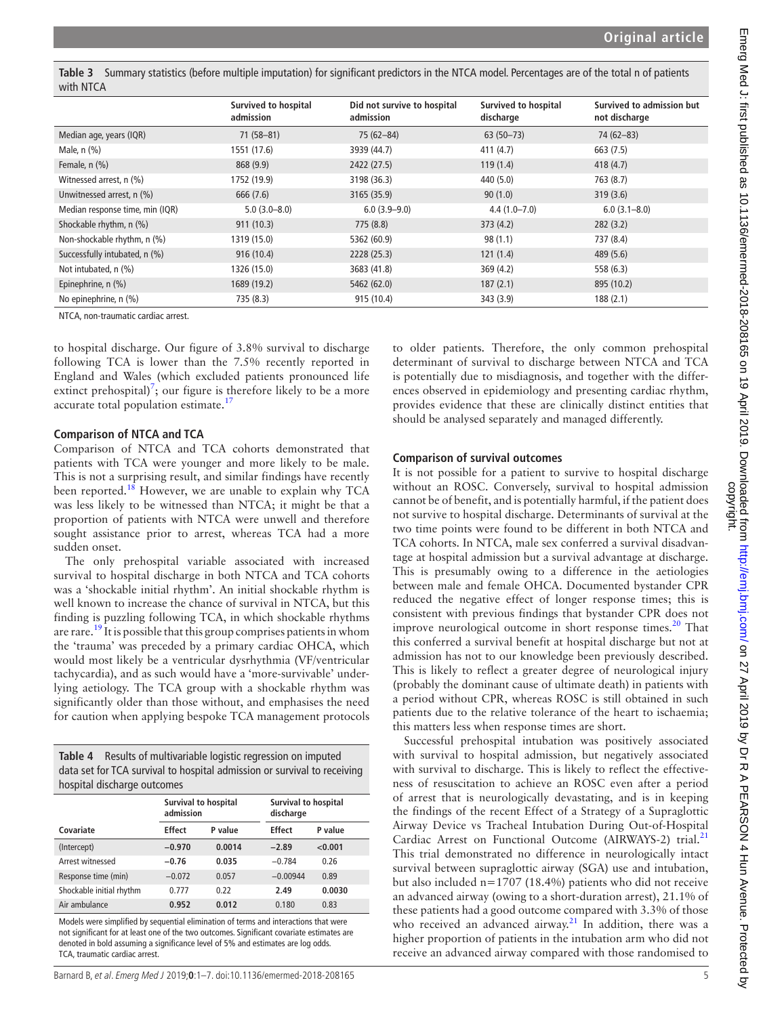<span id="page-4-0"></span>**Table 3** Summary statistics (before multiple imputation) for significant predictors in the NTCA model. Percentages are of the total n of patients with NTCA

|                                 | Survived to hospital<br>admission | Did not survive to hospital<br>admission | <b>Survived to hospital</b><br>discharge | Survived to admission but<br>not discharge |
|---------------------------------|-----------------------------------|------------------------------------------|------------------------------------------|--------------------------------------------|
| Median age, years (IQR)         | $71(58 - 81)$                     | 75 (62-84)                               | $63(50-73)$                              | 74 (62-83)                                 |
| Male, $n$ $(\%)$                | 1551 (17.6)                       | 3939 (44.7)                              | 411(4.7)                                 | 663 (7.5)                                  |
| Female, $n$ $(\%)$              | 868 (9.9)                         | 2422 (27.5)                              | 119(1.4)                                 | 418(4.7)                                   |
| Witnessed arrest, n (%)         | 1752 (19.9)                       | 3198 (36.3)                              | 440 (5.0)                                | 763 (8.7)                                  |
| Unwitnessed arrest, n (%)       | 666 (7.6)                         | 3165 (35.9)                              | 90(1.0)                                  | 319(3.6)                                   |
| Median response time, min (IQR) | $5.0(3.0-8.0)$                    | $6.0(3.9 - 9.0)$                         | $4.4(1.0 - 7.0)$                         | $6.0(3.1 - 8.0)$                           |
| Shockable rhythm, n (%)         | 911(10.3)                         | 775 (8.8)                                | 373(4.2)                                 | 282(3.2)                                   |
| Non-shockable rhythm, n (%)     | 1319 (15.0)                       | 5362 (60.9)                              | 98(1.1)                                  | 737 (8.4)                                  |
| Successfully intubated, n (%)   | 916(10.4)                         | 2228 (25.3)                              | 121(1.4)                                 | 489 (5.6)                                  |
| Not intubated, n (%)            | 1326 (15.0)                       | 3683 (41.8)                              | 369(4.2)                                 | 558 (6.3)                                  |
| Epinephrine, n (%)              | 1689 (19.2)                       | 5462 (62.0)                              | 187(2.1)                                 | 895 (10.2)                                 |
| No epinephrine, n (%)           | 735 (8.3)                         | 915 (10.4)                               | 343 (3.9)                                | 188(2.1)                                   |

NTCA, non-traumatic cardiac arrest.

to hospital discharge. Our figure of 3.8% survival to discharge following TCA is lower than the 7.5% recently reported in England and Wales (which excluded patients pronounced life extinct prehospital)<sup>[7](#page-6-6)</sup>; our figure is therefore likely to be a more accurate total population estimate.<sup>17</sup>

#### **Comparison of NTCA and TCA**

Comparison of NTCA and TCA cohorts demonstrated that patients with TCA were younger and more likely to be male. This is not a surprising result, and similar findings have recently been reported.<sup>18</sup> However, we are unable to explain why TCA was less likely to be witnessed than NTCA; it might be that a proportion of patients with NTCA were unwell and therefore sought assistance prior to arrest, whereas TCA had a more sudden onset.

The only prehospital variable associated with increased survival to hospital discharge in both NTCA and TCA cohorts was a 'shockable initial rhythm'. An initial shockable rhythm is well known to increase the chance of survival in NTCA, but this finding is puzzling following TCA, in which shockable rhythms are rare.<sup>19</sup> It is possible that this group comprises patients in whom the 'trauma' was preceded by a primary cardiac OHCA, which would most likely be a ventricular dysrhythmia (VF/ventricular tachycardia), and as such would have a 'more-survivable' underlying aetiology. The TCA group with a shockable rhythm was significantly older than those without, and emphasises the need for caution when applying bespoke TCA management protocols

<span id="page-4-1"></span>

| <b>Table 4</b> Results of multivariable logistic regression on imputed   |
|--------------------------------------------------------------------------|
| data set for TCA survival to hospital admission or survival to receiving |
| hospital discharge outcomes                                              |

|                          | Survival to hospital<br>admission |         | Survival to hospital<br>discharge |         |  |
|--------------------------|-----------------------------------|---------|-----------------------------------|---------|--|
| Covariate                | <b>Effect</b>                     | P value | <b>Effect</b>                     | P value |  |
| (Intercept)              | $-0.970$                          | 0.0014  | $-2.89$                           | < 0.001 |  |
| Arrest witnessed         | $-0.76$                           | 0.035   | $-0.784$                          | 0.26    |  |
| Response time (min)      | $-0.072$                          | 0.057   | $-0.00944$                        | 0.89    |  |
| Shockable initial rhythm | 0.777                             | 0.22    | 2.49                              | 0.0030  |  |
| Air ambulance            | 0.952                             | 0.012   | 0.180                             | 0.83    |  |

Models were simplified by sequential elimination of terms and interactions that were not significant for at least one of the two outcomes. Significant covariate estimates are denoted in bold assuming a significance level of 5% and estimates are log odds. TCA, traumatic cardiac arrest.

to older patients. Therefore, the only common prehospital determinant of survival to discharge between NTCA and TCA is potentially due to misdiagnosis, and together with the differences observed in epidemiology and presenting cardiac rhythm, provides evidence that these are clinically distinct entities that should be analysed separately and managed differently.

# **Comparison of survival outcomes**

It is not possible for a patient to survive to hospital discharge without an ROSC. Conversely, survival to hospital admission cannot be of benefit, and is potentially harmful, if the patient does not survive to hospital discharge. Determinants of survival at the two time points were found to be different in both NTCA and TCA cohorts. In NTCA, male sex conferred a survival disadvantage at hospital admission but a survival advantage at discharge. This is presumably owing to a difference in the aetiologies between male and female OHCA. Documented bystander CPR reduced the negative effect of longer response times; this is consistent with previous findings that bystander CPR does not improve neurological outcome in short response times. $20$  That this conferred a survival benefit at hospital discharge but not at admission has not to our knowledge been previously described. This is likely to reflect a greater degree of neurological injury (probably the dominant cause of ultimate death) in patients with a period without CPR, whereas ROSC is still obtained in such patients due to the relative tolerance of the heart to ischaemia; this matters less when response times are short.

Successful prehospital intubation was positively associated with survival to hospital admission, but negatively associated with survival to discharge. This is likely to reflect the effectiveness of resuscitation to achieve an ROSC even after a period of arrest that is neurologically devastating, and is in keeping the findings of the recent Effect of a Strategy of a Supraglottic Airway Device vs Tracheal Intubation During Out-of-Hospital Cardiac Arrest on Functional Outcome (AIRWAYS-2) trial.<sup>[21](#page-6-20)</sup> This trial demonstrated no difference in neurologically intact survival between supraglottic airway (SGA) use and intubation, but also included n=1707 (18.4%) patients who did not receive an advanced airway (owing to a short-duration arrest), 21.1% of these patients had a good outcome compared with 3.3% of those who received an advanced airway.<sup>[21](#page-6-20)</sup> In addition, there was a higher proportion of patients in the intubation arm who did not receive an advanced airway compared with those randomised to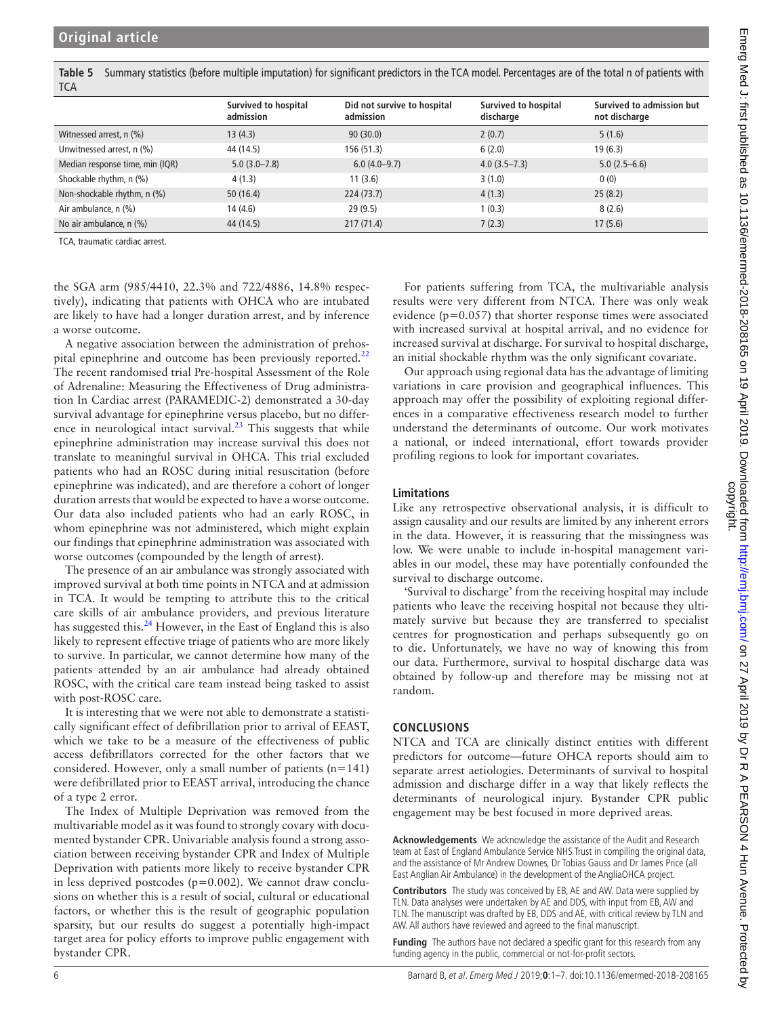<span id="page-5-0"></span>**Table 5** Summary statistics (before multiple imputation) for significant predictors in the TCA model. Percentages are of the total n of patients with **TCA** 

|                                 | <b>Survived to hospital</b><br>admission | Did not survive to hospital<br>admission | Survived to hospital<br>discharge | Survived to admission but<br>not discharge |
|---------------------------------|------------------------------------------|------------------------------------------|-----------------------------------|--------------------------------------------|
| Witnessed arrest, n (%)         | 13(4.3)                                  | 90(30.0)                                 | 2(0.7)                            | 5(1.6)                                     |
| Unwitnessed arrest, n (%)       | 44 (14.5)                                | 156 (51.3)                               | 6(2.0)                            | 19(6.3)                                    |
| Median response time, min (IQR) | $5.0(3.0 - 7.8)$                         | $6.0(4.0-9.7)$                           | $4.0(3.5 - 7.3)$                  | $5.0(2.5-6.6)$                             |
| Shockable rhythm, n (%)         | 4(1.3)                                   | 11(3.6)                                  | 3(1.0)                            | 0(0)                                       |
| Non-shockable rhythm, n (%)     | 50(16.4)                                 | 224(73.7)                                | 4(1.3)                            | 25(8.2)                                    |
| Air ambulance, n (%)            | 14(4.6)                                  | 29(9.5)                                  | 1(0.3)                            | 8(2.6)                                     |
| No air ambulance, n (%)         | 44 (14.5)                                | 217(71.4)                                | 7(2.3)                            | 17(5.6)                                    |

TCA, traumatic cardiac arrest.

the SGA arm (985/4410, 22.3% and 722/4886, 14.8% respectively), indicating that patients with OHCA who are intubated are likely to have had a longer duration arrest, and by inference a worse outcome.

A negative association between the administration of prehos-pital epinephrine and outcome has been previously reported.<sup>[22](#page-6-21)</sup> The recent randomised trial Pre-hospital Assessment of the Role of Adrenaline: Measuring the Effectiveness of Drug administration In Cardiac arrest (PARAMEDIC-2) demonstrated a 30-day survival advantage for epinephrine versus placebo, but no difference in neurological intact survival. $^{23}$  This suggests that while epinephrine administration may increase survival this does not translate to meaningful survival in OHCA. This trial excluded patients who had an ROSC during initial resuscitation (before epinephrine was indicated), and are therefore a cohort of longer duration arrests that would be expected to have a worse outcome. Our data also included patients who had an early ROSC, in whom epinephrine was not administered, which might explain our findings that epinephrine administration was associated with worse outcomes (compounded by the length of arrest).

The presence of an air ambulance was strongly associated with improved survival at both time points in NTCA and at admission in TCA. It would be tempting to attribute this to the critical care skills of air ambulance providers, and previous literature has suggested this.<sup>24</sup> However, in the East of England this is also likely to represent effective triage of patients who are more likely to survive. In particular, we cannot determine how many of the patients attended by an air ambulance had already obtained ROSC, with the critical care team instead being tasked to assist with post-ROSC care.

It is interesting that we were not able to demonstrate a statistically significant effect of defibrillation prior to arrival of EEAST, which we take to be a measure of the effectiveness of public access defibrillators corrected for the other factors that we considered. However, only a small number of patients (n=141) were defibrillated prior to EEAST arrival, introducing the chance of a type 2 error.

The Index of Multiple Deprivation was removed from the multivariable model as it was found to strongly covary with documented bystander CPR. Univariable analysis found a strong association between receiving bystander CPR and Index of Multiple Deprivation with patients more likely to receive bystander CPR in less deprived postcodes (p=0.002). We cannot draw conclusions on whether this is a result of social, cultural or educational factors, or whether this is the result of geographic population sparsity, but our results do suggest a potentially high-impact target area for policy efforts to improve public engagement with bystander CPR.

For patients suffering from TCA, the multivariable analysis results were very different from NTCA. There was only weak evidence (p=0.057) that shorter response times were associated with increased survival at hospital arrival, and no evidence for increased survival at discharge. For survival to hospital discharge, an initial shockable rhythm was the only significant covariate.

Our approach using regional data has the advantage of limiting variations in care provision and geographical influences. This approach may offer the possibility of exploiting regional differences in a comparative effectiveness research model to further understand the determinants of outcome. Our work motivates a national, or indeed international, effort towards provider profiling regions to look for important covariates.

### **Limitations**

Like any retrospective observational analysis, it is difficult to assign causality and our results are limited by any inherent errors in the data. However, it is reassuring that the missingness was low. We were unable to include in-hospital management variables in our model, these may have potentially confounded the survival to discharge outcome.

'Survival to discharge' from the receiving hospital may include patients who leave the receiving hospital not because they ultimately survive but because they are transferred to specialist centres for prognostication and perhaps subsequently go on to die. Unfortunately, we have no way of knowing this from our data. Furthermore, survival to hospital discharge data was obtained by follow-up and therefore may be missing not at random.

### **Conclusions**

NTCA and TCA are clinically distinct entities with different predictors for outcome—future OHCA reports should aim to separate arrest aetiologies. Determinants of survival to hospital admission and discharge differ in a way that likely reflects the determinants of neurological injury. Bystander CPR public engagement may be best focused in more deprived areas.

**Acknowledgements** We acknowledge the assistance of the Audit and Research team at East of England Ambulance Service NHS Trust in compiling the original data, and the assistance of Mr Andrew Downes, Dr Tobias Gauss and Dr James Price (all East Anglian Air Ambulance) in the development of the AngliaOHCA project.

**Contributors** The study was conceived by EB, AE and AW. Data were supplied by TLN. Data analyses were undertaken by AE and DDS, with input from EB, AW and TLN. The manuscript was drafted by EB, DDS and AE, with critical review by TLN and AW. All authors have reviewed and agreed to the final manuscript.

**Funding** The authors have not declared a specific grant for this research from any funding agency in the public, commercial or not-for-profit sectors.